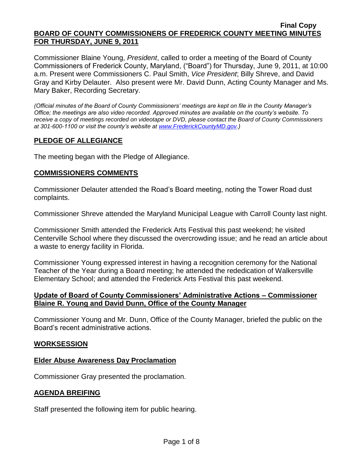Commissioner Blaine Young, *President*, called to order a meeting of the Board of County Commissioners of Frederick County, Maryland, ("Board") for Thursday, June 9, 2011, at 10:00 a.m. Present were Commissioners C. Paul Smith, *Vice President*; Billy Shreve, and David Gray and Kirby Delauter. Also present were Mr. David Dunn, Acting County Manager and Ms. Mary Baker, Recording Secretary.

*(Official minutes of the Board of County Commissioners' meetings are kept on file in the County Manager's Office; the meetings are also video recorded. Approved minutes are available on the county's website. To receive a copy of meetings recorded on videotape or DVD, please contact the Board of County Commissioners at 301-600-1100 or visit the county's website at [www.FrederickCountyMD.gov.](http://www.frederickcountymd.gov/))*

## **PLEDGE OF ALLEGIANCE**

The meeting began with the Pledge of Allegiance.

### **COMMISSIONERS COMMENTS**

Commissioner Delauter attended the Road's Board meeting, noting the Tower Road dust complaints.

Commissioner Shreve attended the Maryland Municipal League with Carroll County last night.

Commissioner Smith attended the Frederick Arts Festival this past weekend; he visited Centerville School where they discussed the overcrowding issue; and he read an article about a waste to energy facility in Florida.

Commissioner Young expressed interest in having a recognition ceremony for the National Teacher of the Year during a Board meeting; he attended the rededication of Walkersville Elementary School; and attended the Frederick Arts Festival this past weekend.

### **Update of Board of County Commissioners' Administrative Actions – Commissioner Blaine R. Young and David Dunn, Office of the County Manager**

Commissioner Young and Mr. Dunn, Office of the County Manager, briefed the public on the Board's recent administrative actions.

### **WORKSESSION**

### **Elder Abuse Awareness Day Proclamation**

Commissioner Gray presented the proclamation.

### **AGENDA BREIFING**

Staff presented the following item for public hearing.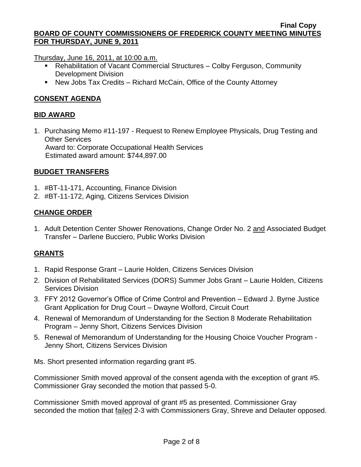Thursday, June 16, 2011, at 10:00 a.m.

- Rehabilitation of Vacant Commercial Structures Colby Ferguson, Community Development Division
- New Jobs Tax Credits Richard McCain, Office of the County Attorney

## **CONSENT AGENDA**

### **BID AWARD**

1. Purchasing Memo #11-197 - Request to Renew Employee Physicals, Drug Testing and Other Services Award to: Corporate Occupational Health Services Estimated award amount: \$744,897.00

### **BUDGET TRANSFERS**

- 1. #BT-11-171, Accounting, Finance Division
- 2. #BT-11-172, Aging, Citizens Services Division

### **CHANGE ORDER**

1. Adult Detention Center Shower Renovations, Change Order No. 2 and Associated Budget Transfer – Darlene Bucciero, Public Works Division

### **GRANTS**

- 1. Rapid Response Grant Laurie Holden, Citizens Services Division
- 2. Division of Rehabilitated Services (DORS) Summer Jobs Grant Laurie Holden, Citizens Services Division
- 3. FFY 2012 Governor's Office of Crime Control and Prevention Edward J. Byrne Justice Grant Application for Drug Court – Dwayne Wolford, Circuit Court
- 4. Renewal of Memorandum of Understanding for the Section 8 Moderate Rehabilitation Program – Jenny Short, Citizens Services Division
- 5. Renewal of Memorandum of Understanding for the Housing Choice Voucher Program Jenny Short, Citizens Services Division

Ms. Short presented information regarding grant #5.

Commissioner Smith moved approval of the consent agenda with the exception of grant #5. Commissioner Gray seconded the motion that passed 5-0.

Commissioner Smith moved approval of grant #5 as presented. Commissioner Gray seconded the motion that failed 2-3 with Commissioners Gray, Shreve and Delauter opposed.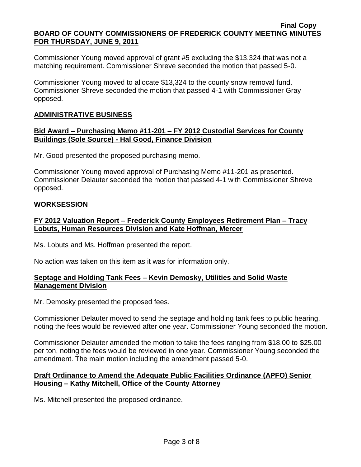Commissioner Young moved approval of grant #5 excluding the \$13,324 that was not a matching requirement. Commissioner Shreve seconded the motion that passed 5-0.

Commissioner Young moved to allocate \$13,324 to the county snow removal fund. Commissioner Shreve seconded the motion that passed 4-1 with Commissioner Gray opposed.

## **ADMINISTRATIVE BUSINESS**

### **Bid Award – Purchasing Memo #11-201 – FY 2012 Custodial Services for County Buildings (Sole Source) - Hal Good, Finance Division**

Mr. Good presented the proposed purchasing memo.

Commissioner Young moved approval of Purchasing Memo #11-201 as presented. Commissioner Delauter seconded the motion that passed 4-1 with Commissioner Shreve opposed.

### **WORKSESSION**

# **FY 2012 Valuation Report – Frederick County Employees Retirement Plan – Tracy Lobuts, Human Resources Division and Kate Hoffman, Mercer**

Ms. Lobuts and Ms. Hoffman presented the report.

No action was taken on this item as it was for information only.

## **Septage and Holding Tank Fees – Kevin Demosky, Utilities and Solid Waste Management Division**

Mr. Demosky presented the proposed fees.

Commissioner Delauter moved to send the septage and holding tank fees to public hearing, noting the fees would be reviewed after one year. Commissioner Young seconded the motion.

Commissioner Delauter amended the motion to take the fees ranging from \$18.00 to \$25.00 per ton, noting the fees would be reviewed in one year. Commissioner Young seconded the amendment. The main motion including the amendment passed 5-0.

## **Draft Ordinance to Amend the Adequate Public Facilities Ordinance (APFO) Senior Housing – Kathy Mitchell, Office of the County Attorney**

Ms. Mitchell presented the proposed ordinance.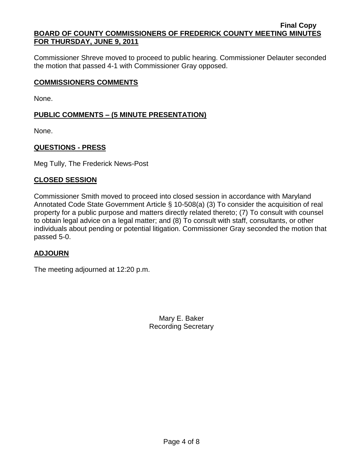Commissioner Shreve moved to proceed to public hearing. Commissioner Delauter seconded the motion that passed 4-1 with Commissioner Gray opposed.

### **COMMISSIONERS COMMENTS**

None.

# **PUBLIC COMMENTS – (5 MINUTE PRESENTATION)**

None.

## **QUESTIONS - PRESS**

Meg Tully, The Frederick News-Post

## **CLOSED SESSION**

Commissioner Smith moved to proceed into closed session in accordance with Maryland Annotated Code State Government Article § 10-508(a) (3) To consider the acquisition of real property for a public purpose and matters directly related thereto; (7) To consult with counsel to obtain legal advice on a legal matter; and (8) To consult with staff, consultants, or other individuals about pending or potential litigation. Commissioner Gray seconded the motion that passed 5-0.

# **ADJOURN**

The meeting adjourned at 12:20 p.m.

Mary E. Baker Recording Secretary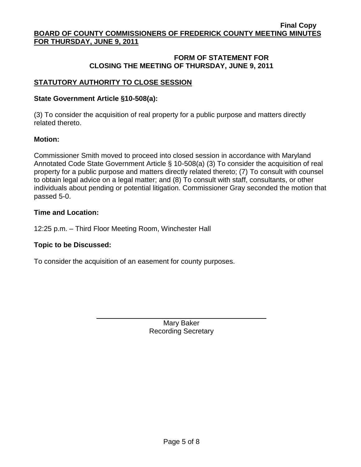### **FORM OF STATEMENT FOR CLOSING THE MEETING OF THURSDAY, JUNE 9, 2011**

# **STATUTORY AUTHORITY TO CLOSE SESSION**

### **State Government Article §10-508(a):**

(3) To consider the acquisition of real property for a public purpose and matters directly related thereto.

### **Motion:**

Commissioner Smith moved to proceed into closed session in accordance with Maryland Annotated Code State Government Article § 10-508(a) (3) To consider the acquisition of real property for a public purpose and matters directly related thereto; (7) To consult with counsel to obtain legal advice on a legal matter; and (8) To consult with staff, consultants, or other individuals about pending or potential litigation. Commissioner Gray seconded the motion that passed 5-0.

### **Time and Location:**

12:25 p.m. – Third Floor Meeting Room, Winchester Hall

### **Topic to be Discussed:**

To consider the acquisition of an easement for county purposes.

Mary Baker Recording Secretary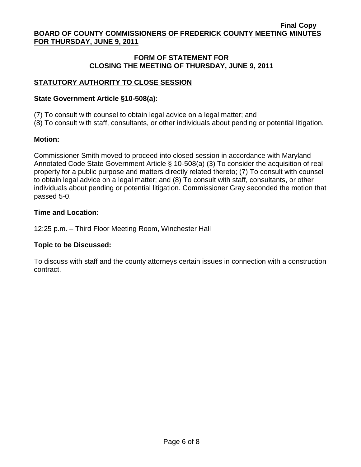## **FORM OF STATEMENT FOR CLOSING THE MEETING OF THURSDAY, JUNE 9, 2011**

# **STATUTORY AUTHORITY TO CLOSE SESSION**

### **State Government Article §10-508(a):**

- (7) To consult with counsel to obtain legal advice on a legal matter; and
- (8) To consult with staff, consultants, or other individuals about pending or potential litigation.

## **Motion:**

Commissioner Smith moved to proceed into closed session in accordance with Maryland Annotated Code State Government Article § 10-508(a) (3) To consider the acquisition of real property for a public purpose and matters directly related thereto; (7) To consult with counsel to obtain legal advice on a legal matter; and (8) To consult with staff, consultants, or other individuals about pending or potential litigation. Commissioner Gray seconded the motion that passed 5-0.

## **Time and Location:**

12:25 p.m. – Third Floor Meeting Room, Winchester Hall

# **Topic to be Discussed:**

To discuss with staff and the county attorneys certain issues in connection with a construction contract.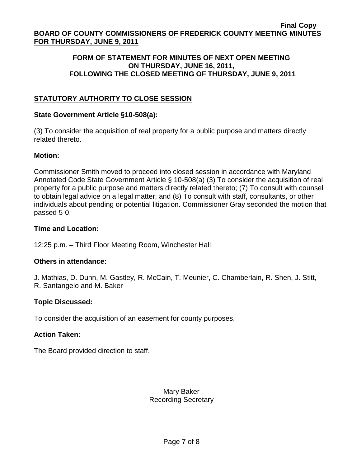### **FORM OF STATEMENT FOR MINUTES OF NEXT OPEN MEETING ON THURSDAY, JUNE 16, 2011, FOLLOWING THE CLOSED MEETING OF THURSDAY, JUNE 9, 2011**

# **STATUTORY AUTHORITY TO CLOSE SESSION**

### **State Government Article §10-508(a):**

(3) To consider the acquisition of real property for a public purpose and matters directly related thereto.

### **Motion:**

Commissioner Smith moved to proceed into closed session in accordance with Maryland Annotated Code State Government Article § 10-508(a) (3) To consider the acquisition of real property for a public purpose and matters directly related thereto; (7) To consult with counsel to obtain legal advice on a legal matter; and (8) To consult with staff, consultants, or other individuals about pending or potential litigation. Commissioner Gray seconded the motion that passed 5-0.

### **Time and Location:**

12:25 p.m. – Third Floor Meeting Room, Winchester Hall

### **Others in attendance:**

J. Mathias, D. Dunn, M. Gastley, R. McCain, T. Meunier, C. Chamberlain, R. Shen, J. Stitt, R. Santangelo and M. Baker

### **Topic Discussed:**

To consider the acquisition of an easement for county purposes.

### **Action Taken:**

The Board provided direction to staff.

Mary Baker Recording Secretary